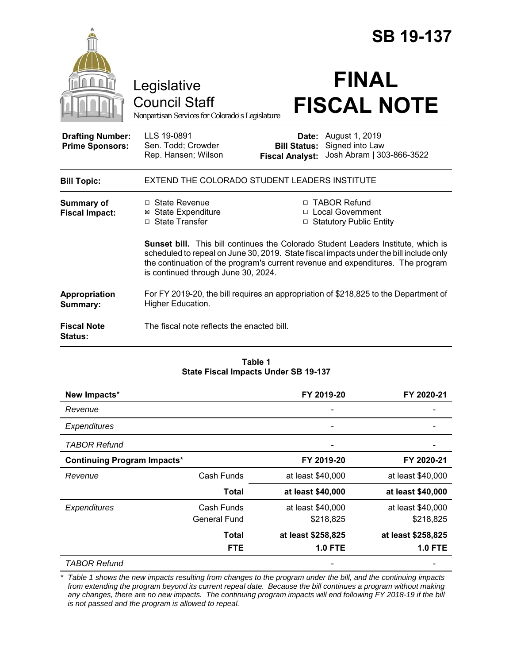|                                                   |                                                                                                                                                                                                                                                                                                              |                                                        | <b>SB 19-137</b>                                                  |  |
|---------------------------------------------------|--------------------------------------------------------------------------------------------------------------------------------------------------------------------------------------------------------------------------------------------------------------------------------------------------------------|--------------------------------------------------------|-------------------------------------------------------------------|--|
|                                                   | Legislative<br><b>Council Staff</b><br>Nonpartisan Services for Colorado's Legislature                                                                                                                                                                                                                       |                                                        | <b>FINAL</b><br><b>FISCAL NOTE</b>                                |  |
| <b>Drafting Number:</b><br><b>Prime Sponsors:</b> | LLS 19-0891<br>Sen. Todd; Crowder<br>Rep. Hansen; Wilson                                                                                                                                                                                                                                                     | Date:<br><b>Bill Status:</b><br><b>Fiscal Analyst:</b> | August 1, 2019<br>Signed into Law<br>Josh Abram   303-866-3522    |  |
| <b>Bill Topic:</b>                                | EXTEND THE COLORADO STUDENT LEADERS INSTITUTE                                                                                                                                                                                                                                                                |                                                        |                                                                   |  |
| Summary of<br><b>Fiscal Impact:</b>               | $\Box$ State Revenue<br>⊠ State Expenditure<br>□ State Transfer                                                                                                                                                                                                                                              |                                                        | □ TABOR Refund<br>□ Local Government<br>□ Statutory Public Entity |  |
|                                                   | <b>Sunset bill.</b> This bill continues the Colorado Student Leaders Institute, which is<br>scheduled to repeal on June 30, 2019. State fiscal impacts under the bill include only<br>the continuation of the program's current revenue and expenditures. The program<br>is continued through June 30, 2024. |                                                        |                                                                   |  |
| Appropriation<br>Summary:                         | For FY 2019-20, the bill requires an appropriation of \$218,825 to the Department of<br>Higher Education.                                                                                                                                                                                                    |                                                        |                                                                   |  |
| <b>Fiscal Note</b><br>Status:                     | The fiscal note reflects the enacted bill.                                                                                                                                                                                                                                                                   |                                                        |                                                                   |  |

#### **Table 1 State Fiscal Impacts Under SB 19-137**

| New Impacts*                       |                     | FY 2019-20               | FY 2020-21         |
|------------------------------------|---------------------|--------------------------|--------------------|
| Revenue                            |                     |                          |                    |
| Expenditures                       |                     |                          |                    |
| TABOR Refund                       |                     |                          |                    |
| <b>Continuing Program Impacts*</b> |                     | FY 2019-20<br>FY 2020-21 |                    |
| Revenue                            | Cash Funds          | at least \$40,000        | at least \$40,000  |
|                                    | <b>Total</b>        | at least \$40,000        | at least \$40,000  |
| Expenditures                       | Cash Funds          | at least \$40,000        | at least \$40,000  |
|                                    | <b>General Fund</b> | \$218,825                | \$218,825          |
|                                    | Total               | at least \$258,825       | at least \$258,825 |
|                                    | <b>FTE</b>          | <b>1.0 FTE</b>           | <b>1.0 FTE</b>     |
| TABOR Refund                       |                     |                          |                    |

*\* Table 1 shows the new impacts resulting from changes to the program under the bill, and the continuing impacts from extending the program beyond its current repeal date. Because the bill continues a program without making any changes, there are no new impacts. The continuing program impacts will end following FY 2018-19 if the bill is not passed and the program is allowed to repeal.*